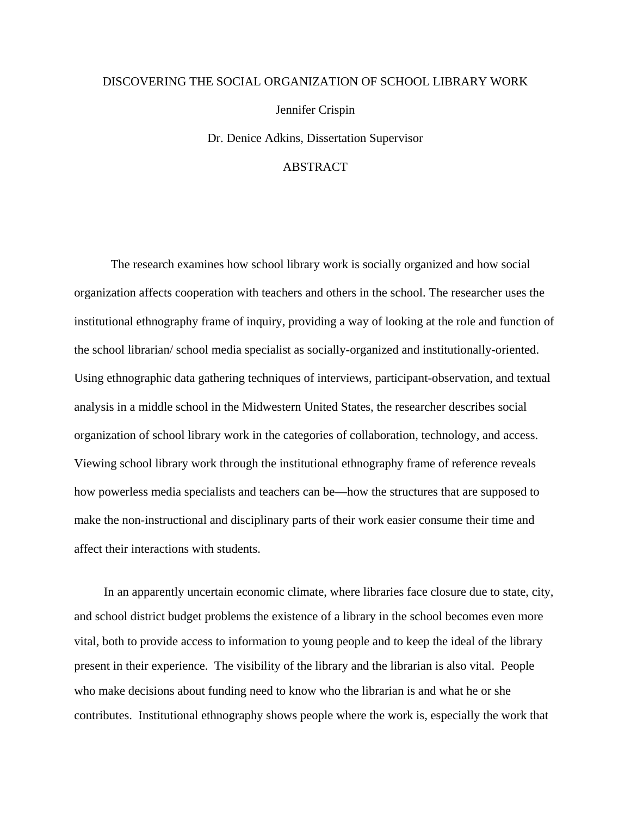## DISCOVERING THE SOCIAL ORGANIZATION OF SCHOOL LIBRARY WORK

Jennifer Crispin

Dr. Denice Adkins, Dissertation Supervisor

## ABSTRACT

The research examines how school library work is socially organized and how social organization affects cooperation with teachers and others in the school. The researcher uses the institutional ethnography frame of inquiry, providing a way of looking at the role and function of the school librarian/ school media specialist as socially-organized and institutionally-oriented. Using ethnographic data gathering techniques of interviews, participant-observation, and textual analysis in a middle school in the Midwestern United States, the researcher describes social organization of school library work in the categories of collaboration, technology, and access. Viewing school library work through the institutional ethnography frame of reference reveals how powerless media specialists and teachers can be—how the structures that are supposed to make the non-instructional and disciplinary parts of their work easier consume their time and affect their interactions with students.

In an apparently uncertain economic climate, where libraries face closure due to state, city, and school district budget problems the existence of a library in the school becomes even more vital, both to provide access to information to young people and to keep the ideal of the library present in their experience. The visibility of the library and the librarian is also vital. People who make decisions about funding need to know who the librarian is and what he or she contributes. Institutional ethnography shows people where the work is, especially the work that